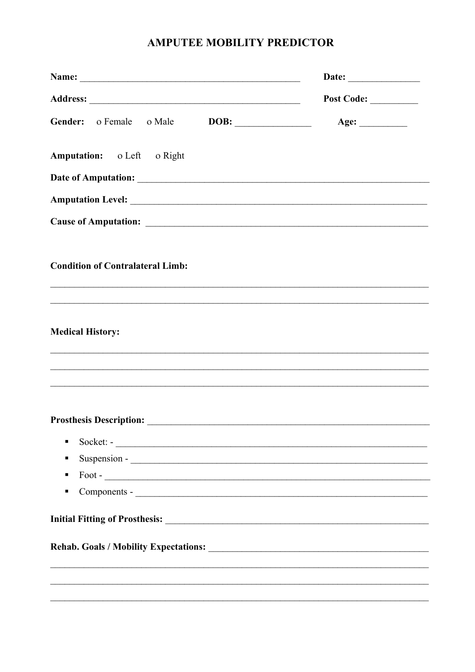## **AMPUTEE MOBILITY PREDICTOR**

| Name:                                                                                                                                                                                                                          | Date: $\qquad \qquad$ |  |  |
|--------------------------------------------------------------------------------------------------------------------------------------------------------------------------------------------------------------------------------|-----------------------|--|--|
|                                                                                                                                                                                                                                | Post Code:            |  |  |
|                                                                                                                                                                                                                                | Age: $\qquad \qquad$  |  |  |
| Amputation: o Left o Right                                                                                                                                                                                                     |                       |  |  |
|                                                                                                                                                                                                                                |                       |  |  |
|                                                                                                                                                                                                                                |                       |  |  |
|                                                                                                                                                                                                                                |                       |  |  |
| <b>Condition of Contralateral Limb:</b><br>,我们也不能在这里的人,我们也不能在这里的人,我们也不能在这里的人,我们也不能在这里的人,我们也不能在这里的人,我们也不能在这里的人,我们也不能在这里的人,我们也                                                                                                   |                       |  |  |
|                                                                                                                                                                                                                                |                       |  |  |
| <b>Medical History:</b>                                                                                                                                                                                                        |                       |  |  |
| ,我们也不能在这里的人,我们也不能在这里的人,我们也不能在这里的人,我们也不能在这里的人,我们也不能在这里的人,我们也不能在这里的人,我们也不能在这里的人,我们也                                                                                                                                              |                       |  |  |
|                                                                                                                                                                                                                                |                       |  |  |
| Prosthesis Description: Note of the Communication of the Communication of the Communication of the Communication of the Communication of the Communication of the Communication of the Communication of the Communication of t |                       |  |  |
| ٠                                                                                                                                                                                                                              |                       |  |  |
| ш                                                                                                                                                                                                                              |                       |  |  |
| $\text{ Foot}$ -<br>п                                                                                                                                                                                                          |                       |  |  |
| $\blacksquare$                                                                                                                                                                                                                 |                       |  |  |
|                                                                                                                                                                                                                                |                       |  |  |
|                                                                                                                                                                                                                                |                       |  |  |
|                                                                                                                                                                                                                                |                       |  |  |
|                                                                                                                                                                                                                                |                       |  |  |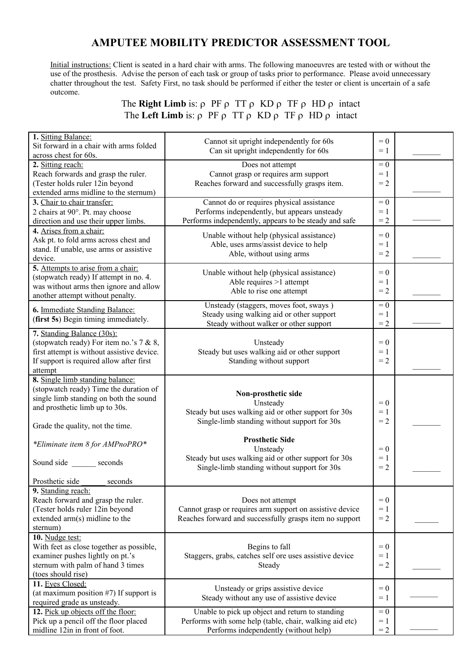## **AMPUTEE MOBILITY PREDICTOR ASSESSMENT TOOL**

 Initial instructions: Client is seated in a hard chair with arms. The following manoeuvres are tested with or without the use of the prosthesis. Advise the person of each task or group of tasks prior to performance. Please avoid unnecessary chatter throughout the test. Safety First, no task should be performed if either the tester or client is uncertain of a safe outcome.

> The **Right Limb** is:  $\rho$  PF  $\rho$  TT  $\rho$  KD  $\rho$  TF  $\rho$  HD  $\rho$  intact The **Left Limb** is:  $\rho$  PF  $\rho$  TT  $\rho$  KD  $\rho$  TF  $\rho$  HD  $\rho$  intact

| 1. Sitting Balance:<br>Sit forward in a chair with arms folded<br>across chest for 60s.                                                                                                    | Cannot sit upright independently for 60s<br>Can sit upright independently for 60s                                                                   | $= 0$<br>$= 1$          |  |
|--------------------------------------------------------------------------------------------------------------------------------------------------------------------------------------------|-----------------------------------------------------------------------------------------------------------------------------------------------------|-------------------------|--|
| 2. Sitting reach:<br>Reach forwards and grasp the ruler.<br>(Tester holds ruler 12in beyond<br>extended arms midline to the sternum)                                                       | Does not attempt<br>Cannot grasp or requires arm support<br>Reaches forward and successfully grasps item.                                           | $= 0$<br>$= 1$<br>$= 2$ |  |
| 3. Chair to chair transfer:<br>2 chairs at 90°. Pt. may choose<br>direction and use their upper limbs.                                                                                     | Cannot do or requires physical assistance<br>Performs independently, but appears unsteady<br>Performs independently, appears to be steady and safe  | $= 0$<br>$=1$<br>$= 2$  |  |
| 4. Arises from a chair:<br>Ask pt. to fold arms across chest and<br>stand. If unable, use arms or assistive<br>device.                                                                     | Unable without help (physical assistance)<br>Able, uses arms/assist device to help<br>Able, without using arms                                      | $= 0$<br>$=1$<br>$= 2$  |  |
| 5. Attempts to arise from a chair:<br>(stopwatch ready) If attempt in no. 4.<br>was without arms then ignore and allow<br>another attempt without penalty.                                 | Unable without help (physical assistance)<br>Able requires >1 attempt<br>Able to rise one attempt                                                   | $= 0$<br>$=1$<br>$= 2$  |  |
| 6. Immediate Standing Balance:<br>(first 5s) Begin timing immediately.                                                                                                                     | Unsteady (staggers, moves foot, sways)<br>Steady using walking aid or other support<br>Steady without walker or other support                       | $= 0$<br>$= 1$<br>$= 2$ |  |
| 7. Standing Balance (30s):<br>(stopwatch ready) For item no.'s 7 & 8,<br>first attempt is without assistive device.<br>If support is required allow after first<br>attempt                 | Unsteady<br>Steady but uses walking aid or other support<br>Standing without support                                                                | $= 0$<br>$=1$<br>$= 2$  |  |
| 8. Single limb standing balance:<br>(stopwatch ready) Time the duration of<br>single limb standing on both the sound<br>and prosthetic limb up to 30s.<br>Grade the quality, not the time. | Non-prosthetic side<br>Unsteady<br>Steady but uses walking aid or other support for 30s<br>Single-limb standing without support for 30s             | $= 0$<br>$=1$<br>$= 2$  |  |
| *Eliminate item 8 for AMPnoPRO*<br>Sound side seconds<br>Prosthetic side<br>seconds                                                                                                        | <b>Prosthetic Side</b><br>Unsteady<br>Steady but uses walking aid or other support for 30s<br>Single-limb standing without support for 30s          | $= 0$<br>$=1$<br>$= 2$  |  |
| 9. Standing reach:<br>Reach forward and grasp the ruler.<br>(Tester holds ruler 12in beyond<br>extended arm(s) midline to the<br>sternum)                                                  | Does not attempt<br>Cannot grasp or requires arm support on assistive device<br>Reaches forward and successfully grasps item no support             | $= 0$<br>$=$ 1<br>$= 2$ |  |
| 10. Nudge test:<br>With feet as close together as possible,<br>examiner pushes lightly on pt.'s<br>sternum with palm of hand 3 times<br>(toes should rise)                                 | Begins to fall<br>Staggers, grabs, catches self ore uses assistive device<br>Steady                                                                 | $= 0$<br>$=1$<br>$= 2$  |  |
| 11. Eyes Closed:<br>(at maximum position $#7$ ) If support is<br>required grade as unsteady.                                                                                               | Unsteady or grips assistive device<br>Steady without any use of assistive device                                                                    | $= 0$<br>$=1$           |  |
| 12. Pick up objects off the floor:<br>Pick up a pencil off the floor placed<br>midline 12in in front of foot.                                                                              | Unable to pick up object and return to standing<br>Performs with some help (table, chair, walking aid etc)<br>Performs independently (without help) | $= 0$<br>$=1$<br>$= 2$  |  |